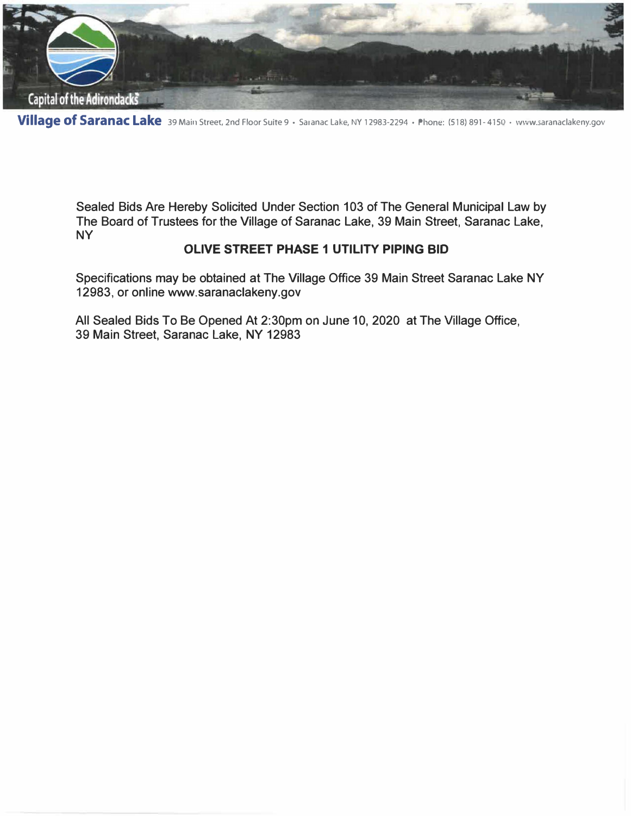

**Village of Saranac Lake** 39 Main Street, 2nd Floor Suite 9 • Saranac Lake, NY 12983-2294 • Phom�: (518) 891-4150 • www.saranaclakeny.gov

Sealed Bids Are Hereby Solicited Under Section 103 of The General Municipal Law by The Board of Trustees for the Village of Saranac Lake, 39 Main Street, Saranac Lake, **NY** 

### **OLIVE STREET PHASE 1 UTILITY PIPING BID**

Specifications may be obtained at The Village Office 39 Main Street Saranac Lake NY 12983, or online www.saranaclakeny.gov

All Sealed Bids To Be Opened At 2:30pm on June 10, 2020 at The Village Office, 39 Main Street, Saranac Lake, NY 12983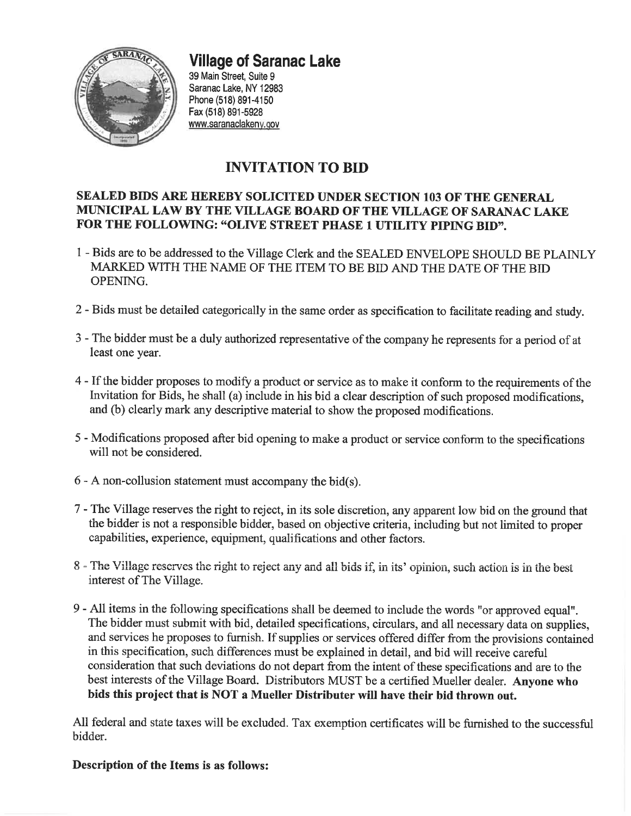

# **Village of Saranac Lake**

39 Main Street. Suite 9 Saranac Lake. NY 12983 Phone (518) 891-4150 Fax (518) 891-5928 www.saranaclakeny.gov

# **INVITATION TO BID**

### SEALED BIDS ARE HEREBY SOLICITED UNDER SECTION 103 OF THE GENERAL MUNICIPAL LAW BY THE VILLAGE BOARD OF THE VILLAGE OF SARANAC LAKE FOR THE FOLLOWING: "OLIVE STREET PHASE 1 UTILITY PIPING BID".

- 1 Bids are to be addressed to the Village Clerk and the SEALED ENVELOPE SHOULD BE PLAINLY MARKED WITH THE NAME OF THE ITEM TO BE BID AND THE DATE OF THE BID OPENING.
- 2 Bids must be detailed categorically in the same order as specification to facilitate reading and study.
- 3 The bidder must be a duly authorized representative of the company he represents for a period of at least one year.
- 4 If the bidder proposes to modify a product or service as to make it conform to the requirements of the Invitation for Bids, he shall (a) include in his bid a clear description of such proposed modifications, and (b) clearly mark any descriptive material to show the proposed modifications.
- 5 Modifications proposed after bid opening to make a product or service conform to the specifications will not be considered.
- $6 A$  non-collusion statement must accompany the bid(s).
- 7 The Village reserves the right to reject, in its sole discretion, any apparent low bid on the ground that the bidder is not a responsible bidder, based on objective criteria, including but not limited to proper capabilities, experience, equipment, qualifications and other factors.
- 8 The Village reserves the right to reject any and all bids if, in its' opinion, such action is in the best interest of The Village.
- 9 All items in the following specifications shall be deemed to include the words "or approved equal". The bidder must submit with bid, detailed specifications, circulars, and all necessary data on supplies, and services he proposes to furnish. If supplies or services offered differ from the provisions contained in this specification, such differences must be explained in detail, and bid will receive careful consideration that such deviations do not depart from the intent of these specifications and are to the best interests of the Village Board. Distributors MUST be a certified Mueller dealer. Anyone who bids this project that is NOT a Mueller Distributer will have their bid thrown out.

All federal and state taxes will be excluded. Tax exemption certificates will be furnished to the successful bidder.

### Description of the Items is as follows: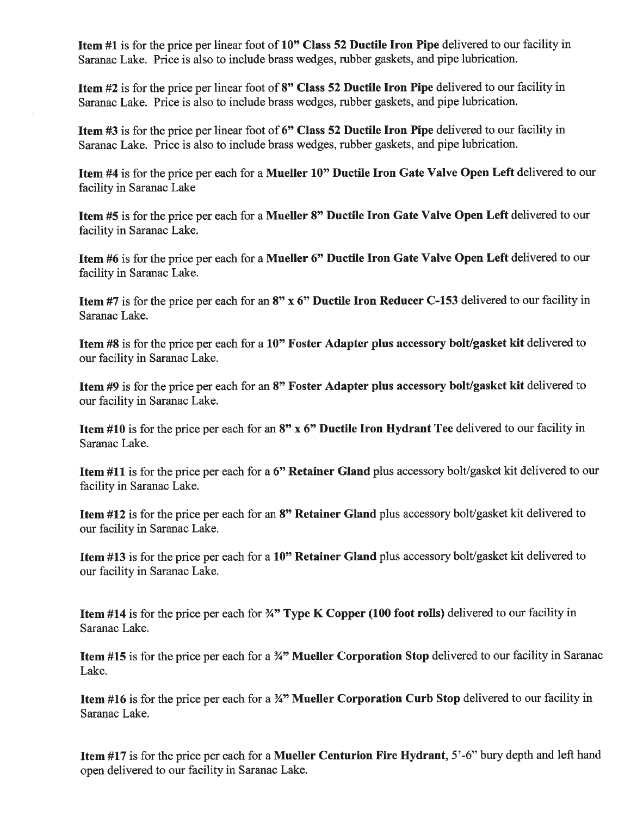**Item #1** is for the price per linear foot of 10" Class 52 Ductile Iron Pipe delivered to our facility in Saranac Lake. Price is also to include brass wedges, rubber gaskets, and pipe lubrication.

Item #2 is for the price per linear foot of 8" Class 52 Ductile Iron Pipe delivered to our facility in Saranac Lake. Price is also to include brass wedges, rubber gaskets, and pipe lubrication.

Item #3 is for the price per linear foot of 6" Class 52 Ductile Iron Pipe delivered to our facility in Saranac Lake. Price is also to include brass wedges, rubber gaskets, and pipe lubrication.

Item #4 is for the price per each for a Mueller 10" Ductile Iron Gate Valve Open Left delivered to our facility in Saranac Lake

Item #5 is for the price per each for a Mueller 8" Ductile Iron Gate Valve Open Left delivered to our facility in Saranac Lake.

Item #6 is for the price per each for a Mueller 6" Ductile Iron Gate Valve Open Left delivered to our facility in Saranac Lake.

Item #7 is for the price per each for an 8" x 6" Ductile Iron Reducer C-153 delivered to our facility in Saranac Lake.

Item #8 is for the price per each for a 10" Foster Adapter plus accessory bolt/gasket kit delivered to our facility in Saranac Lake.

Item #9 is for the price per each for an 8" Foster Adapter plus accessory bolt/gasket kit delivered to our facility in Saranac Lake.

**Item #10** is for the price per each for an  $8$ " x  $6$ " Ductile Iron Hydrant Tee delivered to our facility in Saranac Lake.

Item #11 is for the price per each for a 6" Retainer Gland plus accessory bolt/gasket kit delivered to our facility in Saranac Lake.

Item #12 is for the price per each for an 8" Retainer Gland plus accessory bolt/gasket kit delivered to our facility in Saranac Lake.

Item #13 is for the price per each for a 10" Retainer Gland plus accessory bolt/gasket kit delivered to our facility in Saranac Lake.

**Item #14** is for the price per each for  $\frac{3}{4}$ " Type K Copper (100 foot rolls) delivered to our facility in Saranac Lake.

Item #15 is for the price per each for a 34" Mueller Corporation Stop delivered to our facility in Saranac Lake.

Item #16 is for the price per each for a 34" Mueller Corporation Curb Stop delivered to our facility in Saranac Lake.

Item #17 is for the price per each for a Mueller Centurion Fire Hydrant, 5'-6" bury depth and left hand open delivered to our facility in Saranac Lake.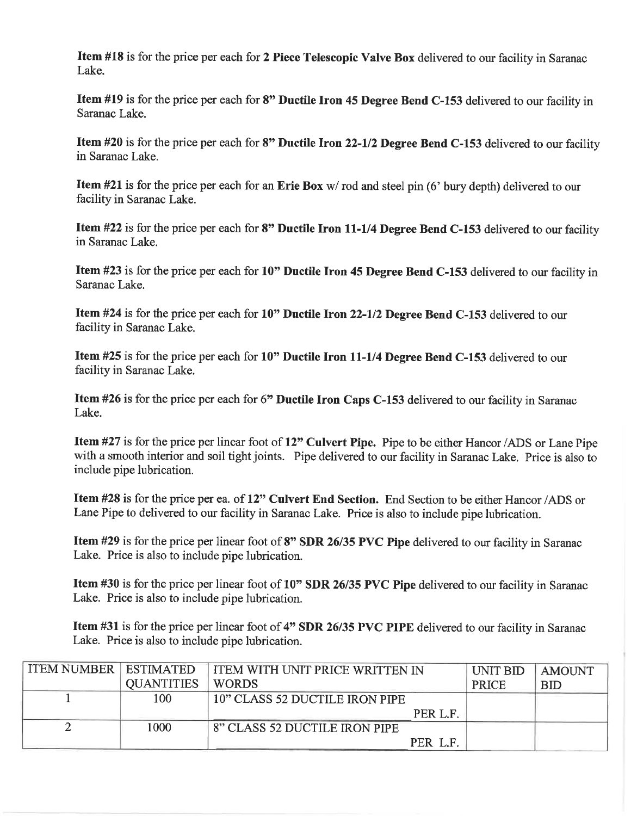Item #18 is for the price per each for 2 Piece Telescopic Valve Box delivered to our facility in Saranac Lake.

Item #19 is for the price per each for 8" Ductile Iron 45 Degree Bend C-153 delivered to our facility in Saranac Lake.

Item #20 is for the price per each for 8" Ductile Iron 22-1/2 Degree Bend C-153 delivered to our facility in Saranac Lake.

**Item #21** is for the price per each for an Erie Box  $w$  rod and steel pin (6' bury depth) delivered to our facility in Saranac Lake.

Item #22 is for the price per each for 8" Ductile Iron 11-1/4 Degree Bend C-153 delivered to our facility in Saranac Lake.

Item #23 is for the price per each for 10" Ductile Iron 45 Degree Bend C-153 delivered to our facility in Saranac Lake.

Item #24 is for the price per each for 10" Ductile Iron 22-1/2 Degree Bend C-153 delivered to our facility in Saranac Lake.

Item #25 is for the price per each for 10" Ductile Iron 11-1/4 Degree Bend C-153 delivered to our facility in Saranac Lake.

Item #26 is for the price per each for 6" Ductile Iron Caps C-153 delivered to our facility in Saranac Lake.

Item #27 is for the price per linear foot of 12" Culvert Pipe. Pipe to be either Hancor/ADS or Lane Pipe with a smooth interior and soil tight joints. Pipe delivered to our facility in Saranac Lake. Price is also to include pipe lubrication.

Item #28 is for the price per ea. of 12" Culvert End Section. End Section to be either Hancor/ADS or Lane Pipe to delivered to our facility in Saranac Lake. Price is also to include pipe lubrication.

Item #29 is for the price per linear foot of 8" SDR 26/35 PVC Pipe delivered to our facility in Saranac Lake. Price is also to include pipe lubrication.

Item #30 is for the price per linear foot of 10" SDR 26/35 PVC Pipe delivered to our facility in Saranac Lake. Price is also to include pipe lubrication.

**Item #31** is for the price per linear foot of 4" SDR 26/35 PVC PIPE delivered to our facility in Saranac Lake. Price is also to include pipe lubrication.

| <b>ITEM NUMBER ESTIMATED</b> |                   | I ITEM WITH UNIT PRICE WRITTEN IN | UNIT BID     | <b>AMOUNT</b> |
|------------------------------|-------------------|-----------------------------------|--------------|---------------|
|                              | <b>OUANTITIES</b> | <b>WORDS</b>                      | <b>PRICE</b> | BID           |
|                              | 100               | 10" CLASS 52 DUCTILE IRON PIPE    |              |               |
|                              |                   | PER L.F.                          |              |               |
|                              | 1000              | 8" CLASS 52 DUCTILE IRON PIPE     |              |               |
|                              |                   | PER L.F.                          |              |               |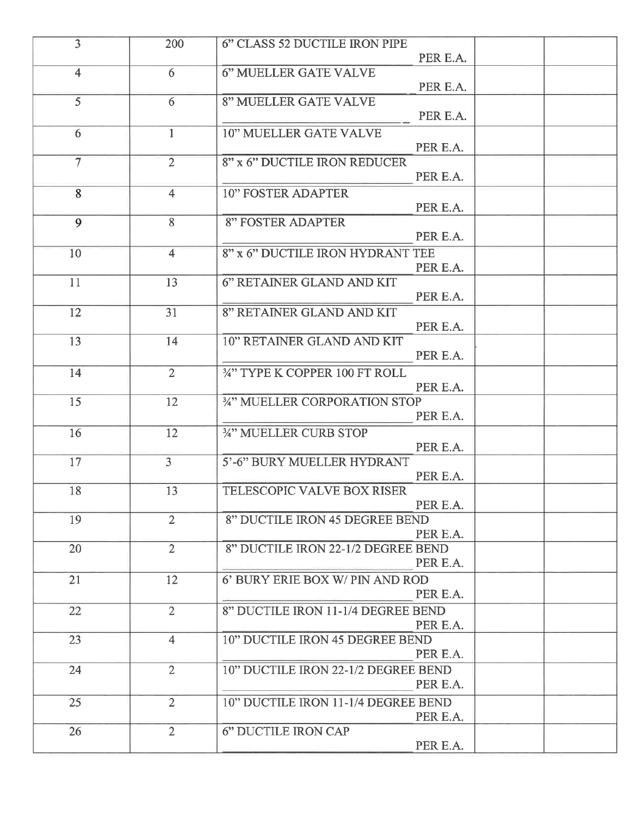| $\overline{3}$    | 200            | 6" CLASS 52 DUCTILE IRON PIPE       |  |
|-------------------|----------------|-------------------------------------|--|
|                   |                | PER E.A.                            |  |
| $\overline{4}$    | 6              | 6" MUELLER GATE VALVE               |  |
|                   |                | PER E.A.                            |  |
| $\overline{5}$    | 6              | <b>8" MUELLER GATE VALVE</b>        |  |
|                   |                | PER E.A.                            |  |
| 6                 | $\mathbf{1}$   | <b>10" MUELLER GATE VALVE</b>       |  |
|                   |                | PER E.A.                            |  |
| $\overline{\tau}$ | $\overline{2}$ | 8" x 6" DUCTILE IRON REDUCER        |  |
|                   |                | PER E.A.                            |  |
| 8                 | $\overline{4}$ | <b>10" FOSTER ADAPTER</b>           |  |
|                   |                | PER E.A.                            |  |
| 9                 | 8              | <b>8" FOSTER ADAPTER</b>            |  |
|                   |                | PER E.A.                            |  |
| 10                | $\overline{4}$ | 8" x 6" DUCTILE IRON HYDRANT TEE    |  |
|                   |                | PER E.A.                            |  |
| 11                | 13             | 6" RETAINER GLAND AND KIT           |  |
|                   |                | PER E.A.                            |  |
|                   |                |                                     |  |
| 12                | 31             | 8" RETAINER GLAND AND KIT           |  |
|                   |                | PER E.A.                            |  |
| 13                | 14             | 10" RETAINER GLAND AND KIT          |  |
|                   |                | PER E.A.                            |  |
| 14                | $\overline{2}$ | 34" TYPE K COPPER 100 FT ROLL       |  |
|                   |                | PER E.A.                            |  |
| 15                | 12             | 34" MUELLER CORPORATION STOP        |  |
|                   |                | PER E.A.                            |  |
| 16                | 12             | 34" MUELLER CURB STOP               |  |
|                   |                | PER E.A.                            |  |
| 17                | $\mathbf{3}$   | 5'-6" BURY MUELLER HYDRANT          |  |
|                   |                | PER E.A.                            |  |
| 18                | 13             | TELESCOPIC VALVE BOX RISER          |  |
|                   |                | PER E.A.                            |  |
| 19                | $\overline{2}$ | 8" DUCTILE IRON 45 DEGREE BEND      |  |
|                   |                | PER E.A.                            |  |
| 20                | $\overline{2}$ | 8" DUCTILE IRON 22-1/2 DEGREE BEND  |  |
|                   |                | PER E.A.                            |  |
| 21                | 12             | 6' BURY ERIE BOX W/ PIN AND ROD     |  |
|                   |                | PER E.A.                            |  |
|                   |                |                                     |  |
| 22                | $\overline{2}$ | 8" DUCTILE IRON 11-1/4 DEGREE BEND  |  |
|                   |                | PER E.A.                            |  |
| 23                | $\overline{4}$ | 10" DUCTILE IRON 45 DEGREE BEND     |  |
|                   |                | PER E.A.                            |  |
| 24                | $\overline{2}$ | 10" DUCTILE IRON 22-1/2 DEGREE BEND |  |
|                   |                | PER E.A.                            |  |
| 25                | $\overline{2}$ | 10" DUCTILE IRON 11-1/4 DEGREE BEND |  |
|                   |                | PER E.A.                            |  |
| 26                | $\overline{2}$ | 6" DUCTILE IRON CAP                 |  |
|                   |                | PER E.A.                            |  |
|                   |                |                                     |  |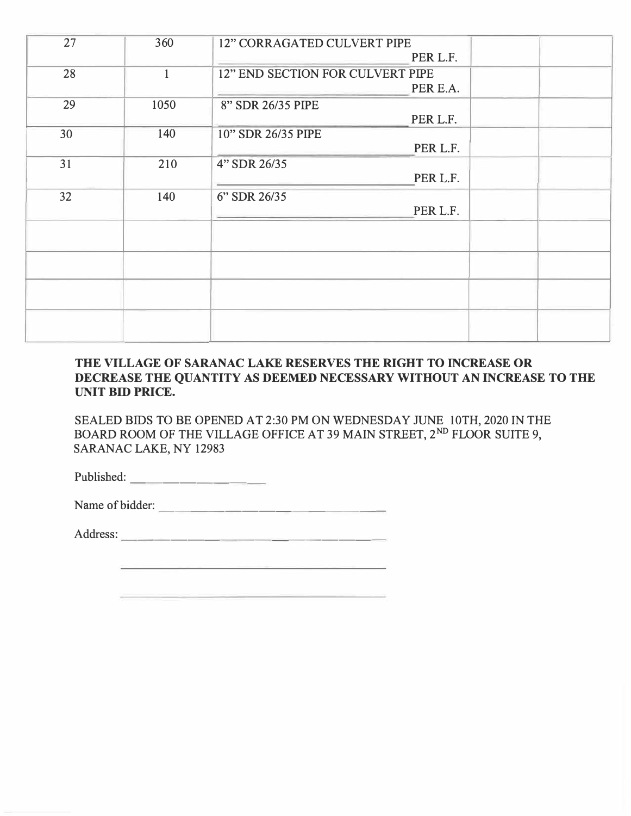| 27 | 360          | <b>12" CORRAGATED CULVERT PIPE</b><br>PER L.F. |  |
|----|--------------|------------------------------------------------|--|
| 28 | $\mathbf{1}$ | 12" END SECTION FOR CULVERT PIPE<br>PER E.A.   |  |
| 29 | 1050         | 8" SDR 26/35 PIPE                              |  |
| 30 | 140          | PER L.F.<br>10" SDR 26/35 PIPE<br>PER L.F.     |  |
| 31 | 210          | 4" SDR 26/35                                   |  |
| 32 | 140          | PER L.F.<br>6" SDR 26/35                       |  |
|    |              | PER L.F.                                       |  |
|    |              |                                                |  |
|    |              |                                                |  |
|    |              |                                                |  |
|    |              |                                                |  |
|    |              |                                                |  |

#### **THE VILLAGE OF SARANAC LAKE RESERVES THE RIGHT TO INCREASE OR DECREASE THE QUANTITY AS DEEMED NECESSARY WITHOUT AN INCREASE TO THE UNIT BID PRICE.**

SEALED BIDS TO BE OPENED AT 2:30 PM ON WEDNESDAY JUNE 10TH, 2020 IN THE BOARD ROOM OF THE VILLAGE OFFICE AT 39 MAIN STREET, 2<sup>ND</sup> FLOOR SUITE 9, SARANAC LAKE, NY 12983

Published: ------- -

Name of bidder:

Address: --------- -------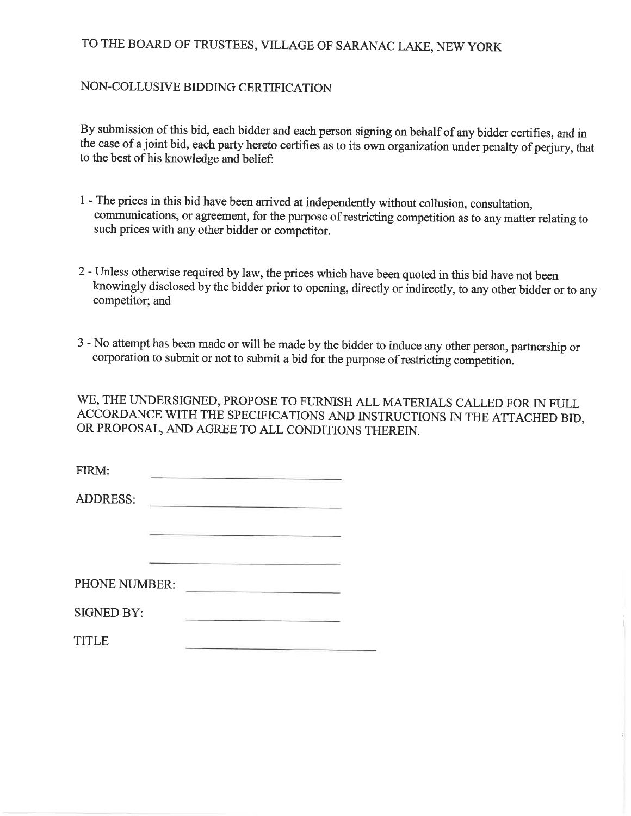## TO THE BOARD OF TRUSTEES, VILLAGE OF SARANAC LAKE, NEW YORK

#### NON-COLLUSIVE BIDDING CERTIFICATION

By submission of this bid, each bidder and each person signing on behalf of any bidder certifies, and in the case of a joint bid, each party hereto certifies as to its own organization under penalty of perjury, that to the best of his knowledge and belief:

- 1 The prices in this bid have been arrived at independently without collusion, consultation, communications, or agreement, for the purpose of restricting competition as to any matter relating to such prices with any other bidder or competitor.
- 2 Unless otherwise required by law, the prices which have been quoted in this bid have not been knowingly disclosed by the bidder prior to opening, directly or indirectly, to any other bidder or to any competitor; and
- 3 No attempt has been made or will be made by the bidder to induce any other person, partnership or corporation to submit or not to submit a bid for the purpose of restricting competition.

WE, THE UNDERSIGNED, PROPOSE TO FURNISH ALL MATERIALS CALLED FOR IN FULL ACCORDANCE WITH THE SPECIFICATIONS AND INSTRUCTIONS IN THE ATTACHED BID, OR PROPOSAL, AND AGREE TO ALL CONDITIONS THEREIN.

| FIRM:             |                                          |
|-------------------|------------------------------------------|
| <b>ADDRESS:</b>   |                                          |
|                   |                                          |
| PHONE NUMBER:     |                                          |
| <b>SIGNED BY:</b> |                                          |
| TITLE             | the property of the property of the con- |